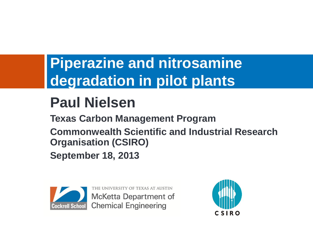### **Piperazine and nitrosamine degradation in pilot plants**

### **Paul Nielsen**

**Texas Carbon Management Program**

**Commonwealth Scientific and Industrial Research Organisation (CSIRO)**

**September 18, 2013**



THE UNIVERSITY OF TEXAS AT AUSTIN **McKetta Department of Chemical Engineering** 

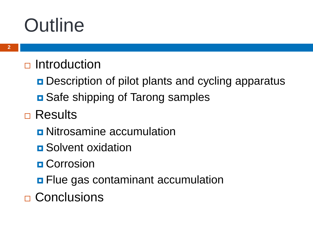## **Outline**

#### $\Box$  Introduction

- **Description of pilot plants and cycling apparatus**
- **□** Safe shipping of Tarong samples
- □ Results
	- **D** Nitrosamine accumulation
	- **<u>n</u>** Solvent oxidation
	- **D** Corrosion
	- **<u>n</u>** Flue gas contaminant accumulation
- **□ Conclusions**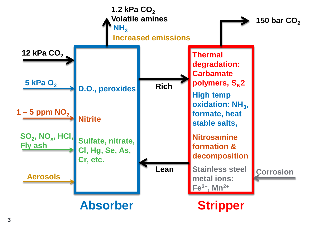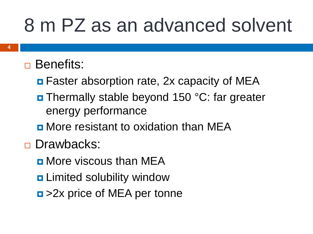## 8 m PZ as an advanced solvent

#### □ Benefits:

- **<u>n</u>** Faster absorption rate, 2x capacity of MEA
- **D** Thermally stable beyond 150 °C: far greater energy performance
- **<u>n</u>** More resistant to oxidation than MEA
- Drawbacks:
	- **<u>n</u>** More viscous than MEA
	- **<u>n</u>** Limited solubility window
	- $\Box$  > 2x price of MEA per tonne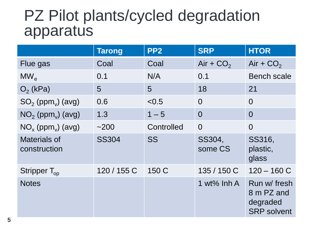#### PZ Pilot plants/cycled degradation apparatus

|                                     | <b>Tarong</b> | PP <sub>2</sub> | <b>SRP</b>        | <b>HTOR</b>                                                  |
|-------------------------------------|---------------|-----------------|-------------------|--------------------------------------------------------------|
| Flue gas                            | Coal          | Coal            | Air + $CO2$       | Air + $CO2$                                                  |
| $MW_{\sim}$                         | 0.1           | N/A             | 0.1               | <b>Bench scale</b>                                           |
| $O2$ (kPa)                          | 5             | 5               | 18                | 21                                                           |
| $SO2$ (ppm <sub>v</sub> ) (avg)     | 0.6           | < 0.5           | $\Omega$          | $\Omega$                                                     |
| $NO2$ (ppm <sub>v</sub> ) (avg)     | 1.3           | $1 - 5$         | $\Omega$          | $\Omega$                                                     |
| $NO_{x}$ (ppm <sub>v</sub> ) (avg)  | ~200          | Controlled      | $\overline{0}$    | $\overline{0}$                                               |
| <b>Materials of</b><br>construction | <b>SS304</b>  | <b>SS</b>       | SS304,<br>some CS | SS316,<br>plastic,<br>glass                                  |
| Stripper $T_{op}$                   | 120 / 155 C   | 150 C           | 135 / 150 C       | $120 - 160 C$                                                |
| <b>Notes</b>                        |               |                 | 1 wt% $Inh A$     | Run w/ fresh<br>8 m PZ and<br>degraded<br><b>SRP</b> solvent |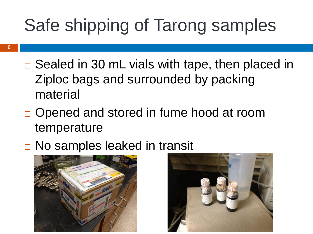### Safe shipping of Tarong samples

- □ Sealed in 30 mL vials with tape, then placed in Ziploc bags and surrounded by packing material
- □ Opened and stored in fume hood at room temperature
- □ No samples leaked in transit



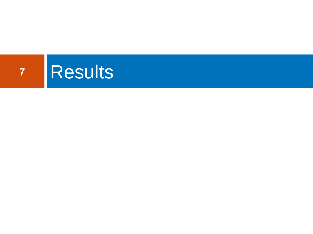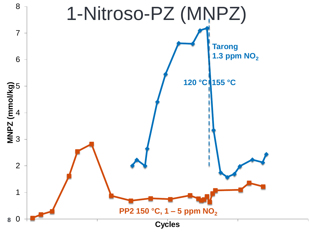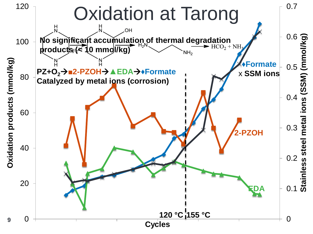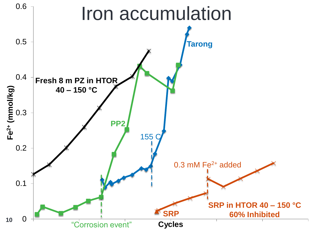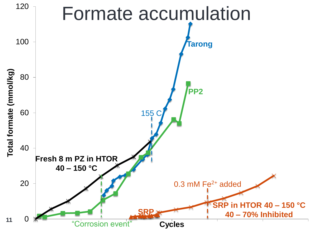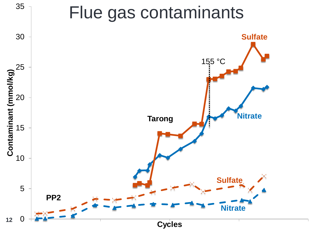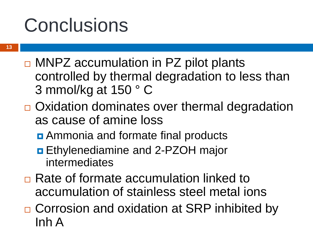## **Conclusions**

- $\Box$  MNPZ accumulation in PZ pilot plants controlled by thermal degradation to less than 3 mmol/kg at 150 ° C
- $\Box$  Oxidation dominates over thermal degradation as cause of amine loss
	- **<u>n</u>** Ammonia and formate final products
	- **Ethylenediamine and 2-PZOH major** intermediates
- **□ Rate of formate accumulation linked to** accumulation of stainless steel metal ions
- □ Corrosion and oxidation at SRP inhibited by Inh A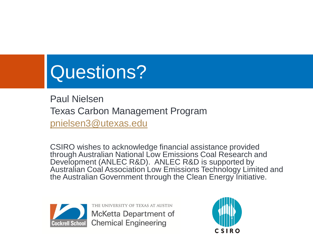# Questions?

Paul Nielsen Texas Carbon Management Program [pnielsen3@utexas.edu](mailto:pnielsen3@utexas.edu)

CSIRO wishes to acknowledge financial assistance provided through Australian National Low Emissions Coal Research and Development (ANLEC R&D). ANLEC R&D is supported by Australian Coal Association Low Emissions Technology Limited and the Australian Government through the Clean Energy Initiative.